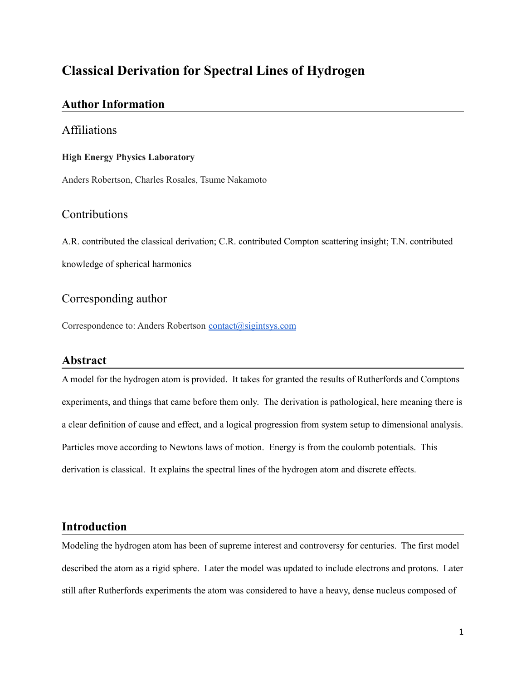# **Classical Derivation for Spectral Lines of Hydrogen**

## **Author Information**

### Affiliations

#### **High Energy Physics Laboratory**

Anders Robertson, Charles Rosales, Tsume Nakamoto

## Contributions

A.R. contributed the classical derivation; C.R. contributed Compton scattering insight; T.N. contributed knowledge of spherical harmonics

## Corresponding author

Correspondence to: Anders Robertson [contact@sigintsys.com](https://www.sigintsys.com/contact@sigintsys.com)

## **Abstract**

A model for the hydrogen atom is provided. It takes for granted the results of Rutherfords and Comptons experiments, and things that came before them only. The derivation is pathological, here meaning there is a clear definition of cause and effect, and a logical progression from system setup to dimensional analysis. Particles move according to Newtons laws of motion. Energy is from the coulomb potentials. This derivation is classical. It explains the spectral lines of the hydrogen atom and discrete effects.

## **Introduction**

Modeling the hydrogen atom has been of supreme interest and controversy for centuries. The first model described the atom as a rigid sphere. Later the model was updated to include electrons and protons. Later still after Rutherfords experiments the atom was considered to have a heavy, dense nucleus composed of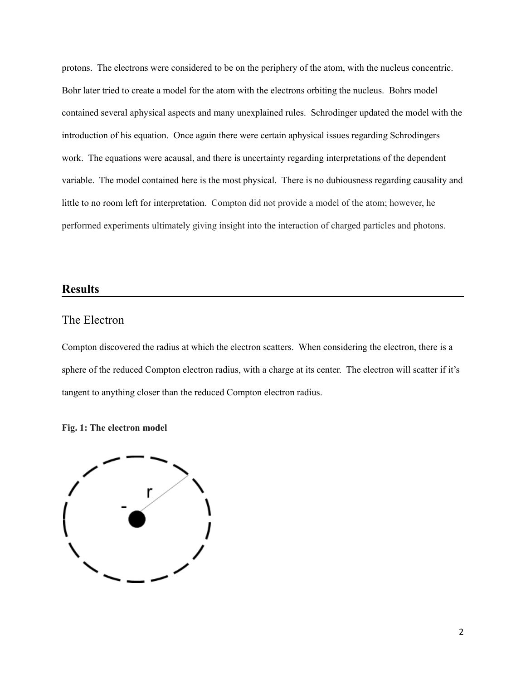protons. The electrons were considered to be on the periphery of the atom, with the nucleus concentric. Bohr later tried to create a model for the atom with the electrons orbiting the nucleus. Bohrs model contained several aphysical aspects and many unexplained rules. Schrodinger updated the model with the introduction of his equation. Once again there were certain aphysical issues regarding Schrodingers work. The equations were acausal, and there is uncertainty regarding interpretations of the dependent variable. The model contained here is the most physical. There is no dubiousness regarding causality and little to no room left for interpretation. Compton did not provide a model of the atom; however, he performed experiments ultimately giving insight into the interaction of charged particles and photons.

### **Results**

### The Electron

Compton discovered the radius at which the electron scatters. When considering the electron, there is a sphere of the reduced Compton electron radius, with a charge at its center. The electron will scatter if it's tangent to anything closer than the reduced Compton electron radius.

#### **Fig. 1: The electron model**

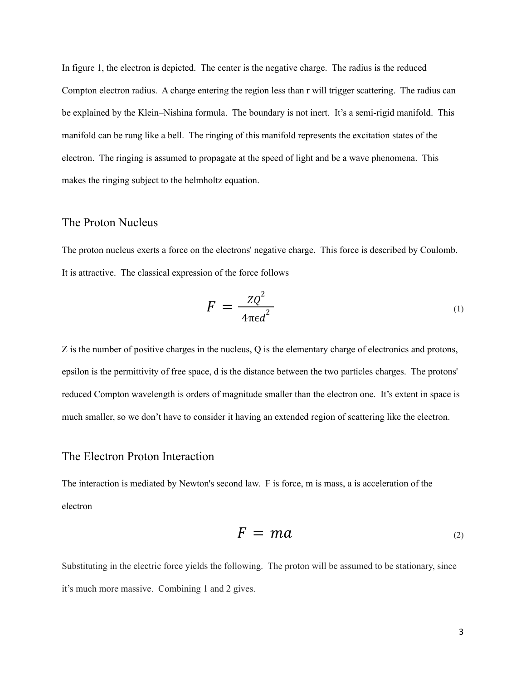In figure 1, the electron is depicted. The center is the negative charge. The radius is the reduced Compton electron radius. A charge entering the region less than r will trigger scattering. The radius can be explained by the Klein–Nishina formula. The boundary is not inert. It's a semi-rigid manifold. This manifold can be rung like a bell. The ringing of this manifold represents the excitation states of the electron. The ringing is assumed to propagate at the speed of light and be a wave phenomena. This makes the ringing subject to the helmholtz equation.

## The Proton Nucleus

The proton nucleus exerts a force on the electrons' negative charge. This force is described by Coulomb. It is attractive. The classical expression of the force follows

$$
F = \frac{ZQ^2}{4\pi\epsilon d^2} \tag{1}
$$

Z is the number of positive charges in the nucleus, Q is the elementary charge of electronics and protons, epsilon is the permittivity of free space, d is the distance between the two particles charges. The protons' reduced Compton wavelength is orders of magnitude smaller than the electron one. It's extent in space is much smaller, so we don't have to consider it having an extended region of scattering like the electron.

#### The Electron Proton Interaction

The interaction is mediated by Newton's second law. F is force, m is mass, a is acceleration of the electron

$$
F = ma \tag{2}
$$

Substituting in the electric force yields the following. The proton will be assumed to be stationary, since it's much more massive. Combining 1 and 2 gives.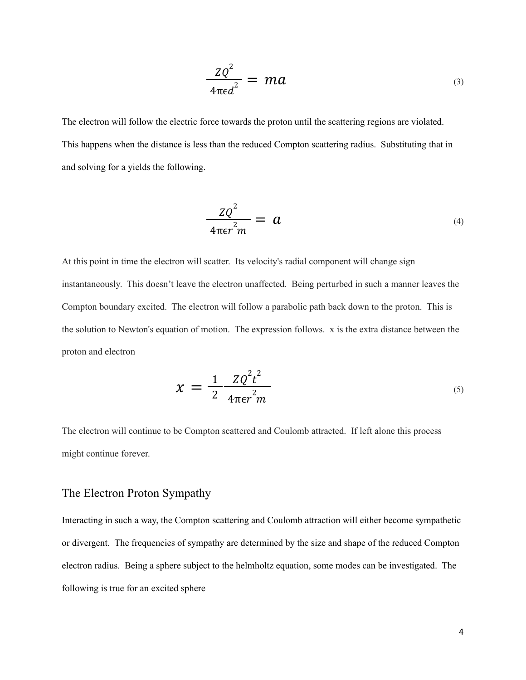$$
\frac{ZQ^2}{4\pi\epsilon d^2} = ma \tag{3}
$$

The electron will follow the electric force towards the proton until the scattering regions are violated. This happens when the distance is less than the reduced Compton scattering radius. Substituting that in and solving for a yields the following.

$$
\frac{ZQ^2}{4\pi\epsilon r^2 m} = a \tag{4}
$$

At this point in time the electron will scatter. Its velocity's radial component will change sign instantaneously. This doesn't leave the electron unaffected. Being perturbed in such a manner leaves the Compton boundary excited. The electron will follow a parabolic path back down to the proton. This is the solution to Newton's equation of motion. The expression follows. x is the extra distance between the proton and electron

$$
x = \frac{1}{2} \frac{Z Q^2 t^2}{4\pi \epsilon r^2 m}
$$
\n<sup>(5)</sup>

The electron will continue to be Compton scattered and Coulomb attracted. If left alone this process might continue forever.

## The Electron Proton Sympathy

Interacting in such a way, the Compton scattering and Coulomb attraction will either become sympathetic or divergent. The frequencies of sympathy are determined by the size and shape of the reduced Compton electron radius. Being a sphere subject to the helmholtz equation, some modes can be investigated. The following is true for an excited sphere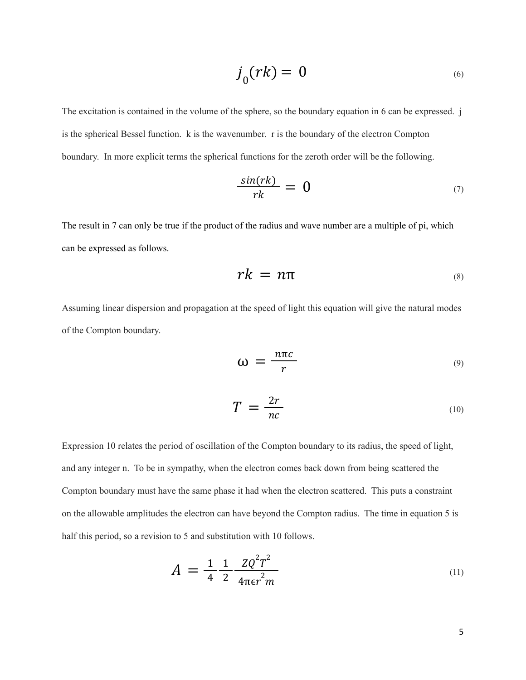$$
j_0(rk) = 0 \tag{6}
$$

The excitation is contained in the volume of the sphere, so the boundary equation in 6 can be expressed. j is the spherical Bessel function. k is the wavenumber. r is the boundary of the electron Compton boundary. In more explicit terms the spherical functions for the zeroth order will be the following.

$$
\frac{\sin(rk)}{rk} = 0 \tag{7}
$$

The result in 7 can only be true if the product of the radius and wave number are a multiple of pi, which can be expressed as follows.

$$
rk = n\pi \tag{8}
$$

Assuming linear dispersion and propagation at the speed of light this equation will give the natural modes of the Compton boundary.

$$
\omega = \frac{n\pi c}{r}
$$
 (9)

$$
T = \frac{2r}{nc} \tag{10}
$$

Expression 10 relates the period of oscillation of the Compton boundary to its radius, the speed of light, and any integer n. To be in sympathy, when the electron comes back down from being scattered the Compton boundary must have the same phase it had when the electron scattered. This puts a constraint on the allowable amplitudes the electron can have beyond the Compton radius. The time in equation 5 is half this period, so a revision to 5 and substitution with 10 follows.

$$
A = \frac{1}{4} \frac{1}{2} \frac{Z Q^2 T^2}{4 \pi \epsilon r^2 m}
$$
 (11)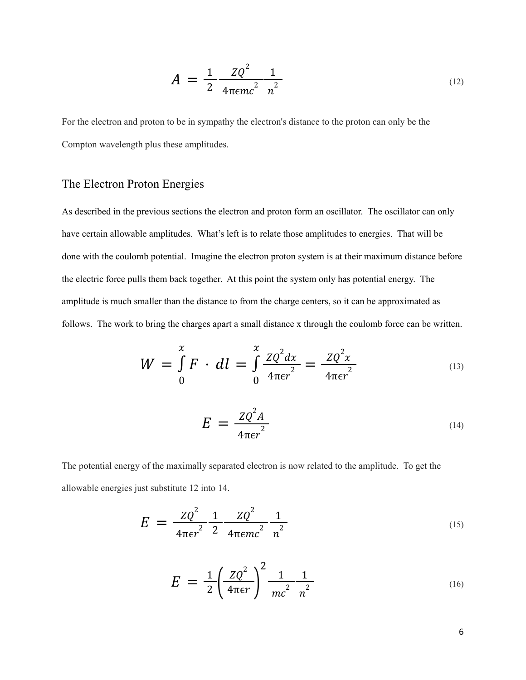$$
A = \frac{1}{2} \frac{Z Q^2}{4 \pi \epsilon m c^2} \frac{1}{n^2}
$$
 (12)

For the electron and proton to be in sympathy the electron's distance to the proton can only be the Compton wavelength plus these amplitudes.

## The Electron Proton Energies

As described in the previous sections the electron and proton form an oscillator. The oscillator can only have certain allowable amplitudes. What's left is to relate those amplitudes to energies. That will be done with the coulomb potential. Imagine the electron proton system is at their maximum distance before the electric force pulls them back together. At this point the system only has potential energy. The amplitude is much smaller than the distance to from the charge centers, so it can be approximated as follows. The work to bring the charges apart a small distance x through the coulomb force can be written.

$$
W = \int_{0}^{x} F \cdot dl = \int_{0}^{x} \frac{ZQ^{2}dx}{4\pi\epsilon r^{2}} = \frac{ZQ^{2}x}{4\pi\epsilon r^{2}}
$$
\n(13)

$$
E = \frac{ZQ^2A}{4\pi\epsilon r^2} \tag{14}
$$

The potential energy of the maximally separated electron is now related to the amplitude. To get the allowable energies just substitute 12 into 14.

$$
E = \frac{ZQ^2}{4\pi\epsilon r^2} \frac{1}{2} \frac{ZQ^2}{4\pi\epsilon mc^2} \frac{1}{n^2}
$$
 (15)

$$
E = \frac{1}{2} \left( \frac{Z Q^2}{4 \pi \epsilon r} \right)^2 \frac{1}{mc^2} \frac{1}{n^2}
$$
 (16)

6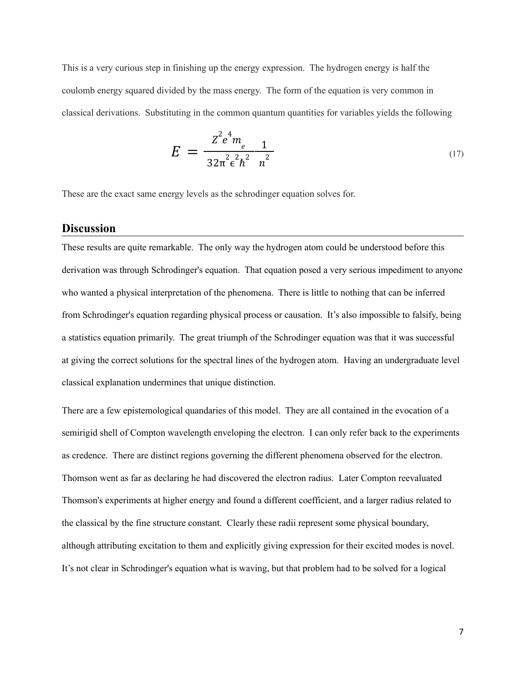This is a very curious step in finishing up the energy expression. The hydrogen energy is half the coulomb energy squared divided by the mass energy. The form of the equation is very common in classical derivations. Substituting in the common quantum quantities for variables yields the following

$$
E = \frac{Z^2 e^4 m_e}{32\pi^2 \epsilon^2 h^2 n^2}
$$
 (17)

These are the exact same energy levels as the schrodinger equation solves for.

#### **Discussion**

These results are quite remarkable. The only way the hydrogen atom could be understood before this derivation was through Schrodinger's equation. That equation posed a very serious impediment to anyone who wanted a physical interpretation of the phenomena. There is little to nothing that can be inferred from Schrodinger's equation regarding physical process or causation. It's also impossible to falsify, being a statistics equation primarily. The great triumph of the Schrodinger equation was that it was successful at giving the correct solutions for the spectral lines of the hydrogen atom. Having an undergraduate level classical explanation undermines that unique distinction.

There are a few epistemological quandaries of this model. They are all contained in the evocation of a semirigid shell of Compton wavelength enveloping the electron. I can only refer back to the experiments as credence. There are distinct regions governing the different phenomena observed for the electron. Thomson went as far as declaring he had discovered the electron radius. Later Compton reevaluated Thomson's experiments at higher energy and found a different coefficient, and a larger radius related to the classical by the fine structure constant. Clearly these radii represent some physical boundary, although attributing excitation to them and explicitly giving expression for their excited modes is novel. It's not clear in Schrodinger's equation what is waving, but that problem had to be solved for a logical